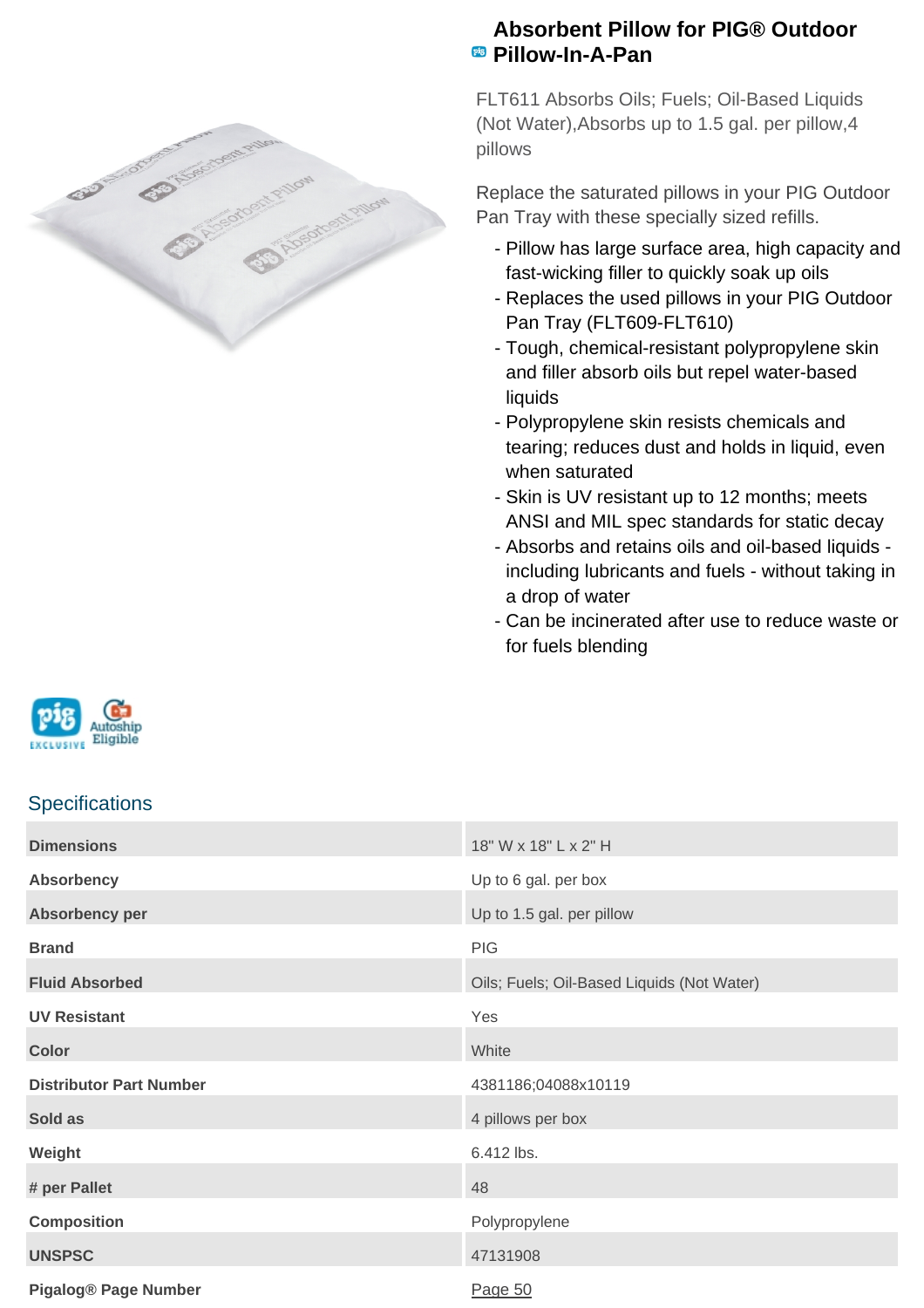

## **Absorbent Pillow for PIG® Outdoor Pillow-In-A-Pan**

FLT611 Absorbs Oils; Fuels; Oil-Based Liquids (Not Water),Absorbs up to 1.5 gal. per pillow,4 pillows

Replace the saturated pillows in your PIG Outdoor Pan Tray with these specially sized refills.

- Pillow has large surface area, high capacity and fast-wicking filler to quickly soak up oils
- Replaces the used pillows in your PIG Outdoor Pan Tray (FLT609-FLT610)
- Tough, chemical-resistant polypropylene skin and filler absorb oils but repel water-based liquids
- Polypropylene skin resists chemicals and tearing; reduces dust and holds in liquid, even when saturated
- Skin is UV resistant up to 12 months; meets ANSI and MIL spec standards for static decay
- Absorbs and retains oils and oil-based liquids including lubricants and fuels - without taking in a drop of water
- Can be incinerated after use to reduce waste or for fuels blending



## **Specifications**

| <b>Dimensions</b>              | 18" W x 18" L x 2" H                       |
|--------------------------------|--------------------------------------------|
| <b>Absorbency</b>              | Up to 6 gal. per box                       |
| Absorbency per                 | Up to 1.5 gal. per pillow                  |
| <b>Brand</b>                   | PIG                                        |
| <b>Fluid Absorbed</b>          | Oils; Fuels; Oil-Based Liquids (Not Water) |
| <b>UV Resistant</b>            | Yes                                        |
| <b>Color</b>                   | White                                      |
| <b>Distributor Part Number</b> | 4381186;04088x10119                        |
| Sold as                        | 4 pillows per box                          |
| Weight                         | 6.412 lbs.                                 |
| # per Pallet                   | 48                                         |
| <b>Composition</b>             | Polypropylene                              |
| <b>UNSPSC</b>                  | 47131908                                   |
| <b>Pigalog® Page Number</b>    | Page 50                                    |